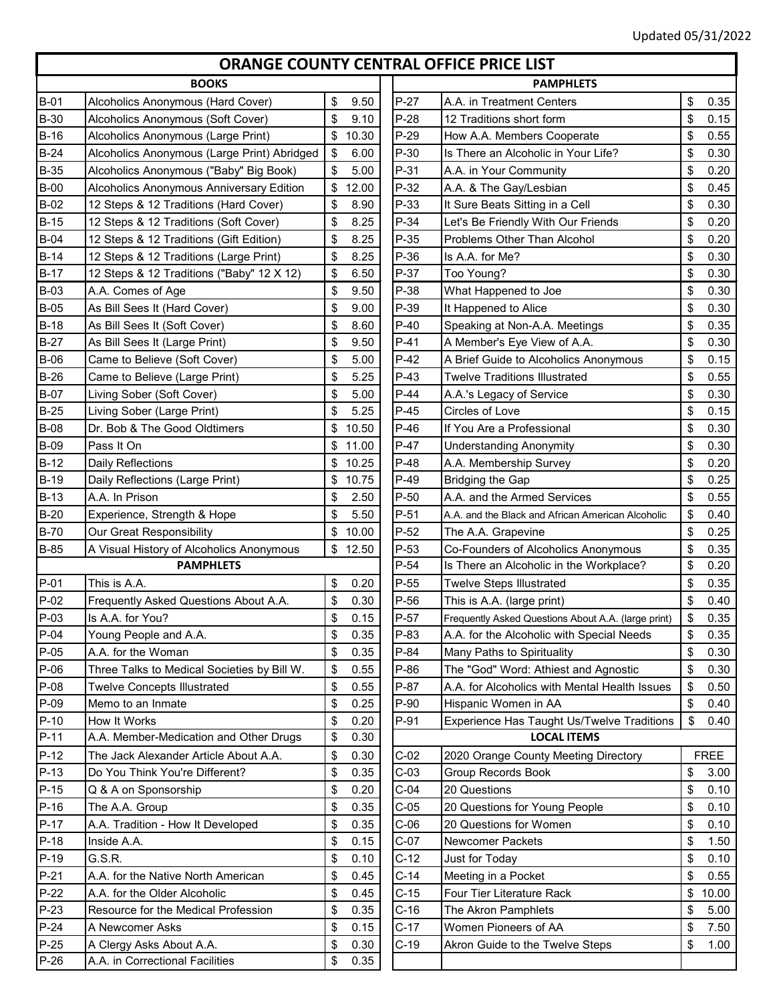## **ORANGE COUNTY CENTRAL OFFICE PRICE LIST**

| <b>BOOKS</b>     |                                                           |                          |                  | <b>PAMPHLETS</b>                                                 |          |              |  |
|------------------|-----------------------------------------------------------|--------------------------|------------------|------------------------------------------------------------------|----------|--------------|--|
| <b>B-01</b>      | Alcoholics Anonymous (Hard Cover)                         | \$<br>9.50               | $P-27$           | A.A. in Treatment Centers                                        | \$       | 0.35         |  |
| <b>B-30</b>      | Alcoholics Anonymous (Soft Cover)                         | \$<br>9.10               | $P-28$           | 12 Traditions short form                                         | \$       | 0.15         |  |
| $B-16$           | Alcoholics Anonymous (Large Print)                        | \$10.30                  | $P-29$           | How A.A. Members Cooperate                                       | \$       | 0.55         |  |
| $B-24$           | Alcoholics Anonymous (Large Print) Abridged               | \$<br>6.00               | $P-30$           | Is There an Alcoholic in Your Life?                              | \$       | 0.30         |  |
| <b>B-35</b>      | Alcoholics Anonymous ("Baby" Big Book)                    | \$<br>5.00               | $P-31$           | A.A. in Your Community                                           | \$       | 0.20         |  |
| $B-00$           | Alcoholics Anonymous Anniversary Edition                  | \$<br>12.00              | $P-32$           | A.A. & The Gay/Lesbian                                           | \$       | 0.45         |  |
| <b>B-02</b>      | 12 Steps & 12 Traditions (Hard Cover)                     | \$<br>8.90               | $P-33$           | It Sure Beats Sitting in a Cell                                  | \$       | 0.30         |  |
| $B-15$           | 12 Steps & 12 Traditions (Soft Cover)                     | \$<br>8.25               | $P-34$           | Let's Be Friendly With Our Friends                               | \$       | 0.20         |  |
| $B-04$           | 12 Steps & 12 Traditions (Gift Edition)                   | \$<br>8.25               | $P-35$           | Problems Other Than Alcohol                                      | \$       | 0.20         |  |
| $B-14$           | 12 Steps & 12 Traditions (Large Print)                    | \$<br>8.25               | P-36             | Is A.A. for Me?                                                  | \$       | 0.30         |  |
| $B-17$           | 12 Steps & 12 Traditions ("Baby" 12 X 12)                 | \$<br>6.50               | $P-37$           | Too Young?                                                       | \$       | 0.30         |  |
| $B-03$           | A.A. Comes of Age                                         | \$<br>9.50               | P-38             | What Happened to Joe                                             | \$       | 0.30         |  |
| $B-05$           | As Bill Sees It (Hard Cover)                              | \$<br>9.00               | P-39             | It Happened to Alice                                             | \$       | 0.30         |  |
| $B-18$           | As Bill Sees It (Soft Cover)                              | \$<br>8.60               | $P-40$           | Speaking at Non-A.A. Meetings                                    | \$       | 0.35         |  |
| $B-27$           | As Bill Sees It (Large Print)                             | \$<br>9.50               | $P-41$           | A Member's Eye View of A.A.                                      | \$       | 0.30         |  |
| $B-06$           | Came to Believe (Soft Cover)                              | \$<br>5.00               | $P-42$           | A Brief Guide to Alcoholics Anonymous                            | \$       | 0.15         |  |
| $B-26$           | Came to Believe (Large Print)                             | \$<br>5.25               | $P-43$           | <b>Twelve Traditions Illustrated</b>                             | \$       | 0.55         |  |
| <b>B-07</b>      | Living Sober (Soft Cover)                                 | \$<br>5.00               | $P-44$           | A.A.'s Legacy of Service                                         | \$       | 0.30         |  |
| $B-25$           | Living Sober (Large Print)                                | \$<br>5.25               | $P-45$           | Circles of Love                                                  | \$       | 0.15         |  |
| <b>B-08</b>      | Dr. Bob & The Good Oldtimers                              | \$<br>10.50              | $P-46$           | If You Are a Professional                                        | \$       | 0.30         |  |
| <b>B-09</b>      | Pass It On                                                | \$<br>11.00              | $P-47$           | <b>Understanding Anonymity</b>                                   | \$       | 0.30         |  |
| $B-12$           | Daily Reflections                                         | \$10.25                  | $P-48$           | A.A. Membership Survey                                           | \$       | 0.20         |  |
| <b>B-19</b>      | Daily Reflections (Large Print)                           | 10.75<br>\$              | $P-49$           | <b>Bridging the Gap</b>                                          | \$       | 0.25         |  |
| $B-13$           | A.A. In Prison                                            | \$<br>2.50               | $P-50$           | A.A. and the Armed Services                                      | \$       | 0.55         |  |
| $B-20$           | Experience, Strength & Hope                               | \$<br>5.50               | $P-51$           | A.A. and the Black and African American Alcoholic                | \$       | 0.40         |  |
| <b>B-70</b>      | Our Great Responsibility                                  | \$<br>10.00              | $P-52$           |                                                                  | \$       | 0.25         |  |
| <b>B-85</b>      | A Visual History of Alcoholics Anonymous                  | \$<br>12.50              | $P-53$           | The A.A. Grapevine<br>Co-Founders of Alcoholics Anonymous        | \$       | 0.35         |  |
|                  | <b>PAMPHLETS</b>                                          |                          | $P-54$           | Is There an Alcoholic in the Workplace?                          | \$       | 0.20         |  |
| P-01             | This is A.A.                                              | 0.20                     | $P-55$           |                                                                  | \$       | 0.35         |  |
| $P-02$           |                                                           | \$<br>\$<br>0.30         | $P-56$           | <b>Twelve Steps Illustrated</b><br>This is A.A. (large print)    | \$       | 0.40         |  |
| $P-03$           | Frequently Asked Questions About A.A.<br>Is A.A. for You? |                          | $P-57$           |                                                                  |          |              |  |
| $P-04$           |                                                           | \$<br>0.15<br>\$<br>0.35 | P-83             | Frequently Asked Questions About A.A. (large print)              | \$<br>\$ | 0.35<br>0.35 |  |
| $P-05$           | Young People and A.A.                                     |                          | $P-84$           | A.A. for the Alcoholic with Special Needs                        |          | 0.30         |  |
| $P-06$           | A.A. for the Woman                                        | \$<br>0.35               | $P-86$           | Many Paths to Spirituality                                       | \$       |              |  |
|                  | Three Talks to Medical Societies by Bill W.               | \$<br>0.55               |                  | The "God" Word: Athiest and Agnostic                             | \$       | 0.30         |  |
| P-08<br>$P-09$   | <b>Twelve Concepts Illustrated</b>                        | \$<br>0.55               | $P-87$<br>$P-90$ | A.A. for Alcoholics with Mental Health Issues                    | \$       | 0.50         |  |
|                  | Memo to an Inmate                                         | \$<br>0.25               |                  | Hispanic Women in AA                                             | \$       | 0.40         |  |
| $P-10$<br>$P-11$ | How It Works                                              | \$<br>0.20<br>0.30       | P-91             | Experience Has Taught Us/Twelve Traditions<br><b>LOCAL ITEMS</b> | \$       | 0.40         |  |
|                  | A.A. Member-Medication and Other Drugs                    | \$                       |                  |                                                                  |          |              |  |
| $P-12$           | The Jack Alexander Article About A.A.                     | \$<br>0.30               | $C-02$           | 2020 Orange County Meeting Directory                             |          | <b>FREE</b>  |  |
| $P-13$           | Do You Think You're Different?                            | \$<br>0.35               | $C-03$           | <b>Group Records Book</b>                                        | \$       | 3.00         |  |
| $P-15$           | Q & A on Sponsorship                                      | \$<br>0.20               | $C-04$           | 20 Questions                                                     | \$       | 0.10         |  |
| $P-16$           | The A.A. Group                                            | \$<br>0.35               | $C-05$           | 20 Questions for Young People                                    | \$       | 0.10         |  |
| $P-17$           | A.A. Tradition - How It Developed                         | \$<br>0.35               | $C-06$           | 20 Questions for Women                                           | \$       | 0.10         |  |
| $P-18$           | Inside A.A.                                               | \$<br>0.15               | $C-07$           | Newcomer Packets                                                 | \$       | 1.50         |  |
| $P-19$           | G.S.R.                                                    | \$<br>0.10               | $C-12$           | Just for Today                                                   | \$       | 0.10         |  |
| $P-21$           | A.A. for the Native North American                        | \$<br>0.45               | $C-14$           | Meeting in a Pocket                                              | \$       | 0.55         |  |
| $P-22$           | A.A. for the Older Alcoholic                              | \$<br>0.45               | $C-15$           | Four Tier Literature Rack                                        | \$       | 10.00        |  |
| $P-23$           | Resource for the Medical Profession                       | \$<br>0.35               | $C-16$           | The Akron Pamphlets                                              | \$       | 5.00         |  |
| $P-24$           | A Newcomer Asks                                           | \$<br>0.15               | $C-17$           | Women Pioneers of AA                                             | \$       | 7.50         |  |
| $P-25$           | A Clergy Asks About A.A.                                  | \$<br>0.30               | $C-19$           | Akron Guide to the Twelve Steps                                  | \$       | 1.00         |  |
| $P-26$           | A.A. in Correctional Facilities                           | \$<br>0.35               |                  |                                                                  |          |              |  |

|                            |             |        | <u>UIMINUL CUUINTI CLINTIME UITICL I INCL LIJI</u>  |             |
|----------------------------|-------------|--------|-----------------------------------------------------|-------------|
| <b>BOOKS</b>               |             |        | <b>PAMPHLETS</b>                                    |             |
| us (Hard Cover)            | \$<br>9.50  | $P-27$ | A.A. in Treatment Centers                           | \$<br>0.35  |
| us (Soft Cover)            | \$<br>9.10  | $P-28$ | 12 Traditions short form                            | \$<br>0.15  |
| us (Large Print)           | \$<br>10.30 | $P-29$ | How A.A. Members Cooperate                          | \$<br>0.55  |
| us (Large Print) Abridged  | \$<br>6.00  | $P-30$ | Is There an Alcoholic in Your Life?                 | \$<br>0.30  |
| us ("Baby" Big Book)       | \$<br>5.00  | $P-31$ | A.A. in Your Community                              | \$<br>0.20  |
| us Anniversary Edition     | \$<br>12.00 | $P-32$ | A.A. & The Gay/Lesbian                              | \$<br>0.45  |
| tions (Hard Cover)         | \$<br>8.90  | $P-33$ | It Sure Beats Sitting in a Cell                     | \$<br>0.30  |
| tions (Soft Cover)         | \$<br>8.25  | $P-34$ | Let's Be Friendly With Our Friends                  | \$<br>0.20  |
| tions (Gift Edition)       | \$<br>8.25  | $P-35$ | Problems Other Than Alcohol                         | \$<br>0.20  |
| tions (Large Print)        | \$<br>8.25  | $P-36$ | Is A.A. for Me?                                     | \$<br>0.30  |
| tions ("Baby" 12 X 12)     | \$<br>6.50  | $P-37$ | Too Young?                                          | \$<br>0.30  |
|                            | 9.50<br>\$  | P-38   | What Happened to Joe                                | \$<br>0.30  |
| Cover)                     | \$<br>9.00  | P-39   | It Happened to Alice                                | \$<br>0.30  |
| Cover)                     | \$<br>8.60  | $P-40$ | Speaking at Non-A.A. Meetings                       | \$<br>0.35  |
| e Print)                   | \$<br>9.50  | $P-41$ | A Member's Eye View of A.A.                         | \$<br>0.30  |
| ›ft Cover)                 | \$<br>5.00  | $P-42$ | A Brief Guide to Alcoholics Anonymous               | \$<br>0.15  |
| rge Print)                 | 5.25<br>\$  | $P-43$ | <b>Twelve Traditions Illustrated</b>                | \$<br>0.55  |
| over)                      | \$<br>5.00  | $P-44$ | A.A.'s Legacy of Service                            | \$<br>0.30  |
| Print)                     | \$<br>5.25  | $P-45$ | Circles of Love                                     | \$<br>0.15  |
| Oldtimers                  | 10.50<br>\$ | $P-46$ | If You Are a Professional                           | \$<br>0.30  |
|                            | \$<br>11.00 | $P-47$ | <b>Understanding Anonymity</b>                      | \$<br>0.30  |
|                            | \$<br>10.25 | $P-48$ | A.A. Membership Survey                              | \$<br>0.20  |
| irge Print)                | \$<br>10.75 | $P-49$ | <b>Bridging the Gap</b>                             | \$<br>0.25  |
|                            | \$<br>2.50  | $P-50$ | A.A. and the Armed Services                         | \$<br>0.55  |
| า & Hope                   | \$<br>5.50  | $P-51$ | A.A. and the Black and African American Alcoholic   | \$<br>0.40  |
| bility                     | \$<br>10.00 | $P-52$ | The A.A. Grapevine                                  | \$<br>0.25  |
| <b>Icoholics Anonymous</b> | 12.50<br>\$ | P-53   | Co-Founders of Alcoholics Anonymous                 | \$<br>0.35  |
| <b>MPHLETS</b>             |             | $P-54$ | Is There an Alcoholic in the Workplace?             | \$<br>0.20  |
|                            | \$<br>0.20  | $P-55$ | <b>Twelve Steps Illustrated</b>                     | \$<br>0.35  |
| uestions About A.A.        | \$<br>0.30  | $P-56$ | This is A.A. (large print)                          | \$<br>0.40  |
|                            | \$<br>0.15  | $P-57$ | Frequently Asked Questions About A.A. (large print) | \$<br>0.35  |
| ١.Α.                       | \$<br>0.35  | P-83   | A.A. for the Alcoholic with Special Needs           | \$<br>0.35  |
|                            | \$<br>0.35  | $P-84$ | Many Paths to Spirituality                          | \$<br>0.30  |
| cal Societies by Bill W.   | \$<br>0.55  | $P-86$ | The "God" Word: Athiest and Agnostic                | \$<br>0.30  |
| ıstrated                   | \$<br>0.55  | P-87   | A.A. for Alcoholics with Mental Health Issues       | \$<br>0.50  |
|                            | \$<br>0.25  | $P-90$ | Hispanic Women in AA                                | \$<br>0.40  |
|                            | \$<br>0.20  | P-91   | Experience Has Taught Us/Twelve Traditions          | \$<br>0.40  |
| ation and Other Drugs      | \$<br>0.30  |        | <b>LOCAL ITEMS</b>                                  |             |
| Article About A.A.         | 0.30<br>\$  | $C-02$ | 2020 Orange County Meeting Directory                | <b>FREE</b> |
| Different?                 | \$<br>0.35  | $C-03$ | Group Records Book                                  | \$<br>3.00  |
| ıip                        | \$<br>0.20  | $C-04$ | 20 Questions                                        | \$<br>0.10  |
|                            | \$<br>0.35  | $C-05$ | 20 Questions for Young People                       | \$<br>0.10  |
| It Developed               | \$<br>0.35  | $C-06$ | 20 Questions for Women                              | \$<br>0.10  |
|                            | \$<br>0.15  | $C-07$ | Newcomer Packets                                    | \$<br>1.50  |
|                            | \$<br>0.10  | $C-12$ | Just for Today                                      | \$<br>0.10  |
| lorth American             | \$<br>0.45  | $C-14$ | Meeting in a Pocket                                 | \$<br>0.55  |
| coholic                    | \$<br>0.45  | $C-15$ | Four Tier Literature Rack                           | \$<br>10.00 |
| dical Profession           | \$<br>0.35  | $C-16$ | The Akron Pamphlets                                 | \$<br>5.00  |
|                            | \$<br>0.15  | $C-17$ | Women Pioneers of AA                                | \$<br>7.50  |
| t A.A.                     | \$<br>0.30  | $C-19$ | Akron Guide to the Twelve Steps                     | \$<br>1.00  |
| Facilities                 | \$<br>0.35  |        |                                                     |             |
|                            |             |        |                                                     |             |